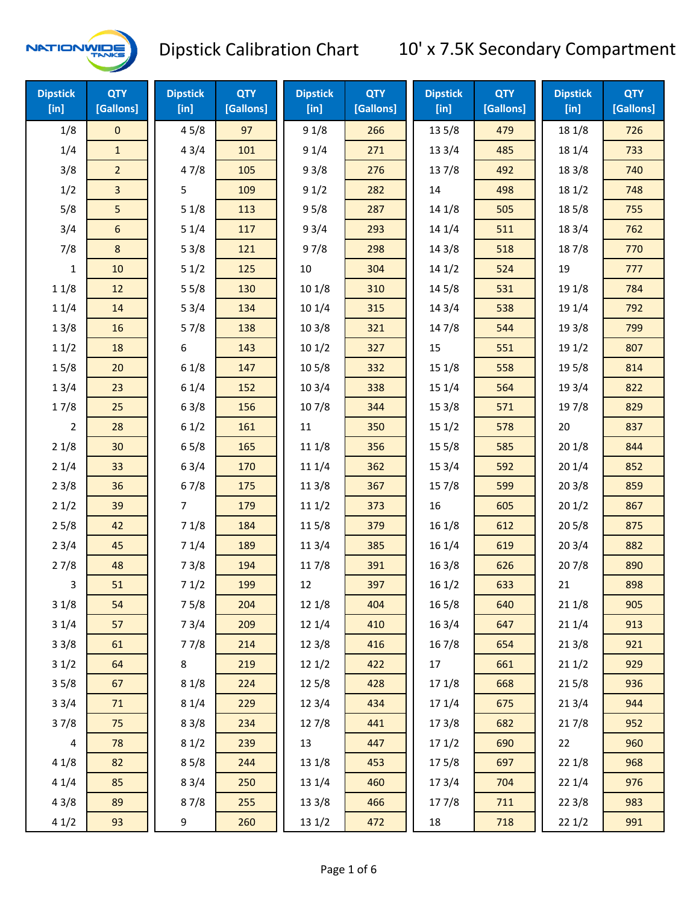

| <b>Dipstick</b><br>[in] | <b>QTY</b><br>[Gallons] | <b>Dipstick</b><br>[in] | <b>QTY</b><br>[Gallons] | <b>Dipstick</b><br>[in] | <b>QTY</b><br>[Gallons] | <b>Dipstick</b><br>$[$ in] | <b>QTY</b><br>[Gallons] | <b>Dipstick</b><br>[in] | <b>QTY</b><br>[Gallons] |
|-------------------------|-------------------------|-------------------------|-------------------------|-------------------------|-------------------------|----------------------------|-------------------------|-------------------------|-------------------------|
| 1/8                     | $\mathbf 0$             | 45/8                    | 97                      | 91/8                    | 266                     | 13 5/8                     | 479                     | 18 1/8                  | 726                     |
| 1/4                     | $\mathbf{1}$            | 43/4                    | 101                     | 91/4                    | 271                     | 13 3/4                     | 485                     | 18 1/4                  | 733                     |
| 3/8                     | $\overline{2}$          | 47/8                    | 105                     | 93/8                    | 276                     | 137/8                      | 492                     | 18 3/8                  | 740                     |
| 1/2                     | 3                       | 5                       | 109                     | 91/2                    | 282                     | 14                         | 498                     | 181/2                   | 748                     |
| 5/8                     | 5                       | 51/8                    | 113                     | 95/8                    | 287                     | 14 1/8                     | 505                     | 185/8                   | 755                     |
| 3/4                     | 6                       | 51/4                    | 117                     | 93/4                    | 293                     | 14 1/4                     | 511                     | 18 3/4                  | 762                     |
| 7/8                     | 8                       | 53/8                    | 121                     | 97/8                    | 298                     | 14 3/8                     | 518                     | 187/8                   | 770                     |
| $\mathbf{1}$            | 10                      | 51/2                    | 125                     | $10\,$                  | 304                     | 141/2                      | 524                     | 19                      | 777                     |
| 11/8                    | 12                      | 55/8                    | 130                     | 101/8                   | 310                     | 14 5/8                     | 531                     | 19 1/8                  | 784                     |
| 11/4                    | 14                      | 53/4                    | 134                     | 10 1/4                  | 315                     | 143/4                      | 538                     | 19 1/4                  | 792                     |
| 13/8                    | 16                      | 57/8                    | 138                     | 103/8                   | 321                     | 147/8                      | 544                     | 19 3/8                  | 799                     |
| 11/2                    | 18                      | 6                       | 143                     | 101/2                   | 327                     | 15                         | 551                     | 19 1/2                  | 807                     |
| 15/8                    | 20                      | 61/8                    | 147                     | 10 <sub>5</sub> /8      | 332                     | 15 1/8                     | 558                     | 195/8                   | 814                     |
| 13/4                    | 23                      | 61/4                    | 152                     | 103/4                   | 338                     | 15 1/4                     | 564                     | 19 3/4                  | 822                     |
| 17/8                    | 25                      | 63/8                    | 156                     | 107/8                   | 344                     | 15 3/8                     | 571                     | 197/8                   | 829                     |
| 2                       | 28                      | 61/2                    | 161                     | 11                      | 350                     | 151/2                      | 578                     | 20                      | 837                     |
| 21/8                    | 30                      | 65/8                    | 165                     | 11 1/8                  | 356                     | 15 5/8                     | 585                     | 201/8                   | 844                     |
| 21/4                    | 33                      | 63/4                    | 170                     | 11 1/4                  | 362                     | 153/4                      | 592                     | 201/4                   | 852                     |
| 23/8                    | 36                      | 67/8                    | 175                     | 11 3/8                  | 367                     | 15 7/8                     | 599                     | 203/8                   | 859                     |
| 21/2                    | 39                      | $\overline{7}$          | 179                     | 111/2                   | 373                     | 16                         | 605                     | 201/2                   | 867                     |
| 25/8                    | 42                      | 71/8                    | 184                     | 115/8                   | 379                     | 16 1/8                     | 612                     | 205/8                   | 875                     |
| 23/4                    | 45                      | 71/4                    | 189                     | 11 3/4                  | 385                     | 16 1/4                     | 619                     | 203/4                   | 882                     |
| 27/8                    | 48                      | 73/8                    | 194                     | 117/8                   | 391                     | 163/8                      | 626                     | 207/8                   | 890                     |
| 3                       | 51                      | 71/2                    | 199                     | 12                      | 397                     | 161/2                      | 633                     | 21                      | 898                     |
| 31/8                    | 54                      | 75/8                    | 204                     | 12 1/8                  | 404                     | 16 5/8                     | 640                     | 21 1/8                  | 905                     |
| 31/4                    | 57                      | 73/4                    | 209                     | 12 1/4                  | 410                     | 16 3/4                     | 647                     | 211/4                   | 913                     |
| 33/8                    | 61                      | 77/8                    | 214                     | 12 3/8                  | 416                     | 16 7/8                     | 654                     | 213/8                   | 921                     |
| 31/2                    | 64                      | 8                       | 219                     | 121/2                   | 422                     | 17                         | 661                     | 211/2                   | 929                     |
| 35/8                    | 67                      | 81/8                    | 224                     | 125/8                   | 428                     | 17 1/8                     | 668                     | 215/8                   | 936                     |
| 33/4                    | 71                      | 81/4                    | 229                     | 123/4                   | 434                     | 17 1/4                     | 675                     | 213/4                   | 944                     |
| 37/8                    | 75                      | 83/8                    | 234                     | 127/8                   | 441                     | 173/8                      | 682                     | 217/8                   | 952                     |
| $\overline{\mathbf{4}}$ | 78                      | 81/2                    | 239                     | 13                      | 447                     | 171/2                      | 690                     | 22                      | 960                     |
| 41/8                    | 82                      | 85/8                    | 244                     | 13 1/8                  | 453                     | 175/8                      | 697                     | 22 1/8                  | 968                     |
| 41/4                    | 85                      | 83/4                    | 250                     | 13 1/4                  | 460                     | 17 3/4                     | 704                     | 221/4                   | 976                     |
| 43/8                    | 89                      | 87/8                    | 255                     | 13 3/8                  | 466                     | 177/8                      | 711                     | 223/8                   | 983                     |
| 41/2                    | 93                      | 9                       | 260                     | 13 1/2                  | 472                     | 18                         | 718                     | 221/2                   | 991                     |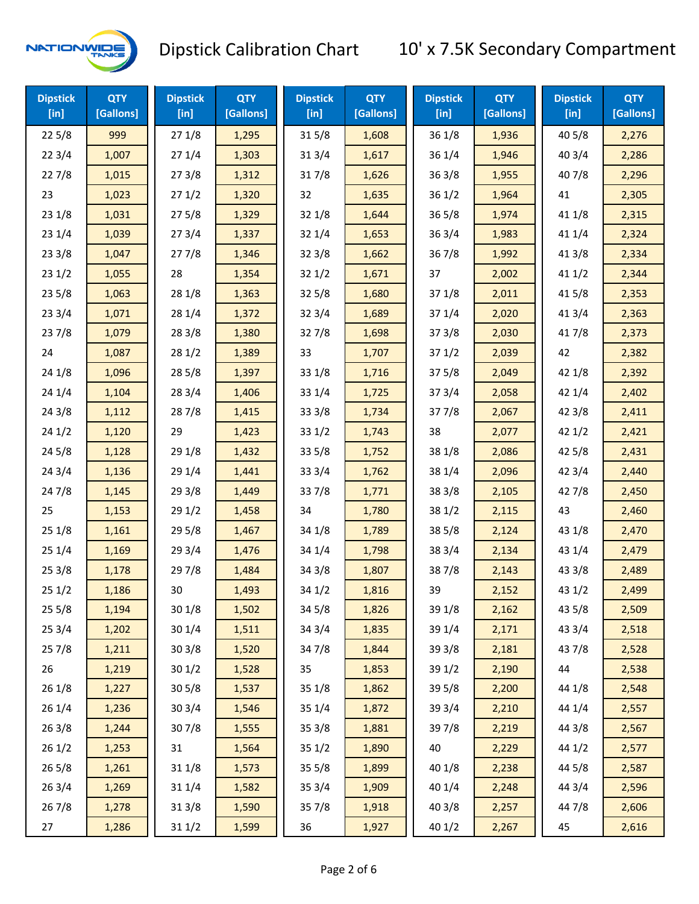

| <b>Dipstick</b><br>$[$ in] | <b>QTY</b><br>[Gallons] | <b>Dipstick</b><br>$[$ in] | <b>QTY</b><br>[Gallons] | <b>Dipstick</b><br>$[$ in] | <b>QTY</b><br>[Gallons] | <b>Dipstick</b><br>$[$ in] | <b>QTY</b><br>[Gallons] | <b>Dipstick</b><br>$[$ in] | <b>QTY</b><br>[Gallons] |
|----------------------------|-------------------------|----------------------------|-------------------------|----------------------------|-------------------------|----------------------------|-------------------------|----------------------------|-------------------------|
| 225/8                      | 999                     | 271/8                      | 1,295                   | 315/8                      | 1,608                   | 36 1/8                     | 1,936                   | 40 5/8                     | 2,276                   |
| 223/4                      | 1,007                   | 271/4                      | 1,303                   | 313/4                      | 1,617                   | 361/4                      | 1,946                   | 403/4                      | 2,286                   |
| 227/8                      | 1,015                   | 273/8                      | 1,312                   | 317/8                      | 1,626                   | 363/8                      | 1,955                   | 407/8                      | 2,296                   |
| 23                         | 1,023                   | 271/2                      | 1,320                   | 32                         | 1,635                   | 361/2                      | 1,964                   | 41                         | 2,305                   |
| 23 1/8                     | 1,031                   | 275/8                      | 1,329                   | 32 1/8                     | 1,644                   | 365/8                      | 1,974                   | 41 1/8                     | 2,315                   |
| 231/4                      | 1,039                   | 273/4                      | 1,337                   | 321/4                      | 1,653                   | 36 3/4                     | 1,983                   | 41 1/4                     | 2,324                   |
| 23 3/8                     | 1,047                   | 277/8                      | 1,346                   | 323/8                      | 1,662                   | 367/8                      | 1,992                   | 413/8                      | 2,334                   |
| 231/2                      | 1,055                   | 28                         | 1,354                   | 321/2                      | 1,671                   | 37                         | 2,002                   | 411/2                      | 2,344                   |
| 235/8                      | 1,063                   | 28 1/8                     | 1,363                   | $32\,5/8$                  | 1,680                   | 371/8                      | 2,011                   | 41 5/8                     | 2,353                   |
| 233/4                      | 1,071                   | 28 1/4                     | 1,372                   | 323/4                      | 1,689                   | 37 1/4                     | 2,020                   | 41 3/4                     | 2,363                   |
| 237/8                      | 1,079                   | 283/8                      | 1,380                   | 327/8                      | 1,698                   | 373/8                      | 2,030                   | 417/8                      | 2,373                   |
| 24                         | 1,087                   | 281/2                      | 1,389                   | 33                         | 1,707                   | 371/2                      | 2,039                   | 42                         | 2,382                   |
| 24 1/8                     | 1,096                   | 28 5/8                     | 1,397                   | 33 1/8                     | 1,716                   | 375/8                      | 2,049                   | 42 1/8                     | 2,392                   |
| 24 1/4                     | 1,104                   | 28 3/4                     | 1,406                   | 33 1/4                     | 1,725                   | 373/4                      | 2,058                   | 42 1/4                     | 2,402                   |
| 243/8                      | 1,112                   | 287/8                      | 1,415                   | 333/8                      | 1,734                   | 377/8                      | 2,067                   | 42 3/8                     | 2,411                   |
| 241/2                      | 1,120                   | 29                         | 1,423                   | 331/2                      | 1,743                   | 38                         | 2,077                   | 421/2                      | 2,421                   |
| 245/8                      | 1,128                   | 29 1/8                     | 1,432                   | 33 5/8                     | 1,752                   | 38 1/8                     | 2,086                   | 42 5/8                     | 2,431                   |
| 24 3/4                     | 1,136                   | 29 1/4                     | 1,441                   | 33 3/4                     | 1,762                   | 38 1/4                     | 2,096                   | 42 3/4                     | 2,440                   |
| 24 7/8                     | 1,145                   | 293/8                      | 1,449                   | 337/8                      | 1,771                   | 38 3/8                     | 2,105                   | 42 7/8                     | 2,450                   |
| 25                         | 1,153                   | 291/2                      | 1,458                   | 34                         | 1,780                   | 381/2                      | 2,115                   | 43                         | 2,460                   |
| 251/8                      | 1,161                   | 295/8                      | 1,467                   | 34 1/8                     | 1,789                   | 385/8                      | 2,124                   | 43 1/8                     | 2,470                   |
| 251/4                      | 1,169                   | 29 3/4                     | 1,476                   | 34 1/4                     | 1,798                   | 38 3/4                     | 2,134                   | 43 1/4                     | 2,479                   |
| 253/8                      | 1,178                   | 297/8                      | 1,484                   | 34 3/8                     | 1,807                   | 387/8                      | 2,143                   | 43 3/8                     | 2,489                   |
| 251/2                      | 1,186                   | 30                         | 1,493                   | 34 1/2                     | 1,816                   | 39                         | 2,152                   | 43 1/2                     | 2,499                   |
| 255/8                      | 1,194                   | 301/8                      | 1,502                   | 345/8                      | 1,826                   | 39 1/8                     | 2,162                   | 43 5/8                     | 2,509                   |
| 253/4                      | 1,202                   | 301/4                      | 1,511                   | 343/4                      | 1,835                   | 39 1/4                     | 2,171                   | 43 3/4                     | 2,518                   |
| 257/8                      | 1,211                   | 303/8                      | 1,520                   | 347/8                      | 1,844                   | 39 3/8                     | 2,181                   | 437/8                      | 2,528                   |
| 26                         | 1,219                   | 301/2                      | 1,528                   | 35                         | 1,853                   | 39 1/2                     | 2,190                   | 44                         | 2,538                   |
| 26 1/8                     | 1,227                   | 305/8                      | 1,537                   | 35 1/8                     | 1,862                   | 39 5/8                     | 2,200                   | 44 1/8                     | 2,548                   |
| 26 1/4                     | 1,236                   | 303/4                      | 1,546                   | 35 1/4                     | 1,872                   | 39 3/4                     | 2,210                   | 44 1/4                     | 2,557                   |
| 263/8                      | 1,244                   | 307/8                      | 1,555                   | 35 3/8                     | 1,881                   | 397/8                      | 2,219                   | 44 3/8                     | 2,567                   |
| 261/2                      | 1,253                   | 31                         | 1,564                   | 351/2                      | 1,890                   | 40                         | 2,229                   | 44 1/2                     | 2,577                   |
| 26 5/8                     | 1,261                   | 31 1/8                     | 1,573                   | 35 5/8                     | 1,899                   | 40 1/8                     | 2,238                   | 44 5/8                     | 2,587                   |
| 263/4                      | 1,269                   | 31 1/4                     | 1,582                   | 353/4                      | 1,909                   | 40 1/4                     | 2,248                   | 44 3/4                     | 2,596                   |
| 267/8                      | 1,278                   | 313/8                      | 1,590                   | 357/8                      | 1,918                   | 40 3/8                     | 2,257                   | 447/8                      | 2,606                   |
| 27                         | 1,286                   | 311/2                      | 1,599                   | 36                         | 1,927                   | 40 1/2                     | 2,267                   | 45                         | 2,616                   |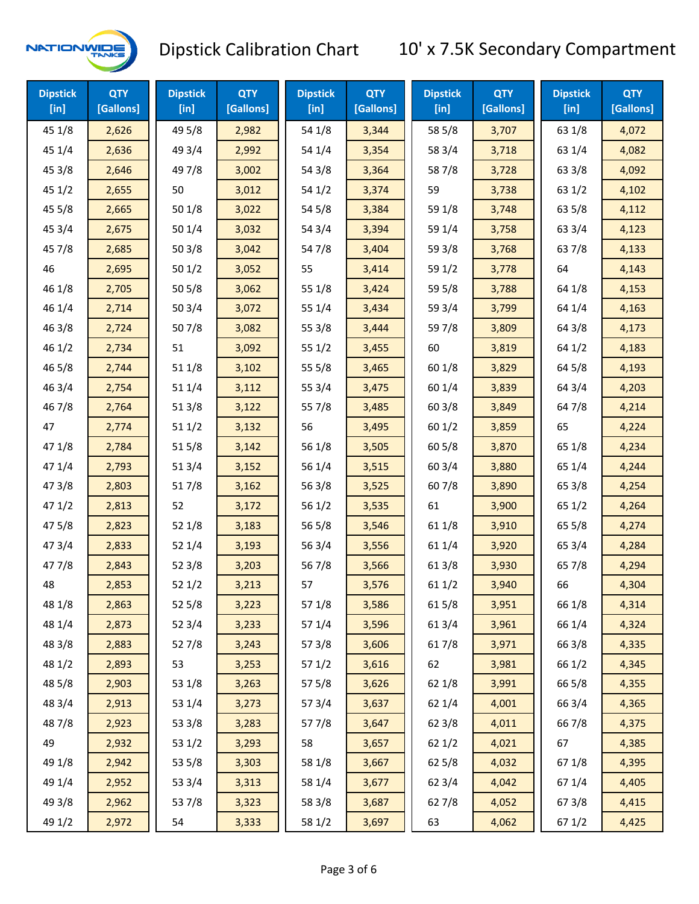

| <b>Dipstick</b><br>$[$ in] | <b>QTY</b><br>[Gallons] | <b>Dipstick</b><br>$[$ in] | <b>QTY</b><br>[Gallons] | <b>Dipstick</b><br>$[$ in] | <b>QTY</b><br>[Gallons] | <b>Dipstick</b><br>$[$ in] | <b>QTY</b><br>[Gallons] | <b>Dipstick</b><br>$[$ in] | <b>QTY</b><br>[Gallons] |
|----------------------------|-------------------------|----------------------------|-------------------------|----------------------------|-------------------------|----------------------------|-------------------------|----------------------------|-------------------------|
| 45 1/8                     | 2,626                   | 49 5/8                     | 2,982                   | 54 1/8                     | 3,344                   | 58 5/8                     | 3,707                   | 63 1/8                     | 4,072                   |
| 45 1/4                     | 2,636                   | 49 3/4                     | 2,992                   | 54 1/4                     | 3,354                   | 58 3/4                     | 3,718                   | 63 1/4                     | 4,082                   |
| 45 3/8                     | 2,646                   | 49 7/8                     | 3,002                   | 54 3/8                     | 3,364                   | 587/8                      | 3,728                   | 63 3/8                     | 4,092                   |
| 45 1/2                     | 2,655                   | 50                         | 3,012                   | 54 1/2                     | 3,374                   | 59                         | 3,738                   | 63 1/2                     | 4,102                   |
| 45 5/8                     | 2,665                   | 50 1/8                     | 3,022                   | 54 5/8                     | 3,384                   | 59 1/8                     | 3,748                   | 63 5/8                     | 4,112                   |
| 45 3/4                     | 2,675                   | 501/4                      | 3,032                   | 54 3/4                     | 3,394                   | 59 1/4                     | 3,758                   | 63 3/4                     | 4,123                   |
| 45 7/8                     | 2,685                   | 503/8                      | 3,042                   | 54 7/8                     | 3,404                   | 59 3/8                     | 3,768                   | 637/8                      | 4,133                   |
| 46                         | 2,695                   | 501/2                      | 3,052                   | 55                         | 3,414                   | 59 1/2                     | 3,778                   | 64                         | 4,143                   |
| 46 1/8                     | 2,705                   | 505/8                      | 3,062                   | 55 1/8                     | 3,424                   | 59 5/8                     | 3,788                   | 64 1/8                     | 4,153                   |
| 46 1/4                     | 2,714                   | 503/4                      | 3,072                   | 55 1/4                     | 3,434                   | 59 3/4                     | 3,799                   | 64 1/4                     | 4,163                   |
| 463/8                      | 2,724                   | 507/8                      | 3,082                   | 55 3/8                     | 3,444                   | 597/8                      | 3,809                   | 64 3/8                     | 4,173                   |
| 46 1/2                     | 2,734                   | 51                         | 3,092                   | 551/2                      | 3,455                   | 60                         | 3,819                   | 64 1/2                     | 4,183                   |
| 46 5/8                     | 2,744                   | 51 1/8                     | 3,102                   | 55 5/8                     | 3,465                   | 60 1/8                     | 3,829                   | 64 5/8                     | 4,193                   |
| 46 3/4                     | 2,754                   | 51 1/4                     | 3,112                   | 55 3/4                     | 3,475                   | 60 1/4                     | 3,839                   | 64 3/4                     | 4,203                   |
| 46 7/8                     | 2,764                   | 51 3/8                     | 3,122                   | 55 7/8                     | 3,485                   | 603/8                      | 3,849                   | 64 7/8                     | 4,214                   |
| 47                         | 2,774                   | 511/2                      | 3,132                   | 56                         | 3,495                   | 60 1/2                     | 3,859                   | 65                         | 4,224                   |
| 47 1/8                     | 2,784                   | 515/8                      | 3,142                   | 56 1/8                     | 3,505                   | 605/8                      | 3,870                   | 65 1/8                     | 4,234                   |
| 47 1/4                     | 2,793                   | 51 3/4                     | 3,152                   | 56 1/4                     | 3,515                   | 60 3/4                     | 3,880                   | 65 1/4                     | 4,244                   |
| 47 3/8                     | 2,803                   | 517/8                      | 3,162                   | 56 3/8                     | 3,525                   | 607/8                      | 3,890                   | 65 3/8                     | 4,254                   |
| 471/2                      | 2,813                   | 52                         | 3,172                   | 56 1/2                     | 3,535                   | 61                         | 3,900                   | 65 1/2                     | 4,264                   |
| 475/8                      | 2,823                   | 52 1/8                     | 3,183                   | 56 5/8                     | 3,546                   | 61 1/8                     | 3,910                   | 65 5/8                     | 4,274                   |
| 47 3/4                     | 2,833                   | 52 1/4                     | 3,193                   | 56 3/4                     | 3,556                   | 61 1/4                     | 3,920                   | 65 3/4                     | 4,284                   |
| 477/8                      | 2,843                   | 52 3/8                     | 3,203                   | 567/8                      | 3,566                   | 61 3/8                     | 3,930                   | 65 7/8                     | 4,294                   |
| 48                         | 2,853                   | 521/2                      | 3,213                   | 57                         | 3,576                   | 611/2                      | 3,940                   | 66                         | 4,304                   |
| 48 1/8                     | 2,863                   | 525/8                      | 3,223                   | 57 1/8                     | 3,586                   | 615/8                      | 3,951                   | 66 1/8                     | 4,314                   |
| 48 1/4                     | 2,873                   | 52 3/4                     | 3,233                   | 57 1/4                     | 3,596                   | 613/4                      | 3,961                   | 66 1/4                     | 4,324                   |
| 48 3/8                     | 2,883                   | 527/8                      | 3,243                   | 57 3/8                     | 3,606                   | 617/8                      | 3,971                   | 66 3/8                     | 4,335                   |
| 48 1/2                     | 2,893                   | 53                         | 3,253                   | 571/2                      | 3,616                   | 62                         | 3,981                   | 66 1/2                     | 4,345                   |
| 48 5/8                     | 2,903                   | 53 1/8                     | 3,263                   | 57 5/8                     | 3,626                   | 62 1/8                     | 3,991                   | 66 5/8                     | 4,355                   |
| 48 3/4                     | 2,913                   | 53 1/4                     | 3,273                   | 573/4                      | 3,637                   | 62 1/4                     | 4,001                   | 66 3/4                     | 4,365                   |
| 487/8                      | 2,923                   | 53 3/8                     | 3,283                   | 577/8                      | 3,647                   | 62 3/8                     | 4,011                   | 667/8                      | 4,375                   |
| 49                         | 2,932                   | 53 1/2                     | 3,293                   | 58                         | 3,657                   | 621/2                      | 4,021                   | 67                         | 4,385                   |
| 49 1/8                     | 2,942                   | 53 5/8                     | 3,303                   | 58 1/8                     | 3,667                   | 62 5/8                     | 4,032                   | 671/8                      | 4,395                   |
| 49 1/4                     | 2,952                   | 53 3/4                     | 3,313                   | 58 1/4                     | 3,677                   | 62 3/4                     | 4,042                   | 671/4                      | 4,405                   |
| 49 3/8                     | 2,962                   | 537/8                      | 3,323                   | 58 3/8                     | 3,687                   | 627/8                      | 4,052                   | 67 3/8                     | 4,415                   |
| 49 1/2                     | 2,972                   | 54                         | 3,333                   | 58 1/2                     | 3,697                   | 63                         | 4,062                   | 67 1/2                     | 4,425                   |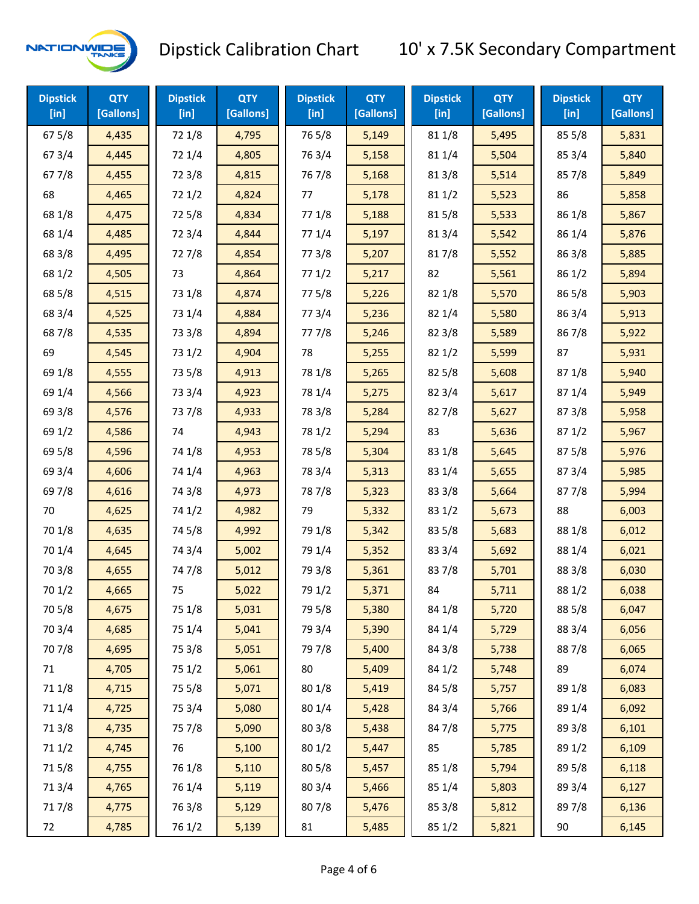

| <b>Dipstick</b><br>[in] | <b>QTY</b><br>[Gallons] | <b>Dipstick</b><br>$[$ in] | <b>QTY</b><br>[Gallons] | <b>Dipstick</b><br>$[$ in] | <b>QTY</b><br>[Gallons] | <b>Dipstick</b><br>$[$ in] | <b>QTY</b><br>[Gallons] | <b>Dipstick</b><br>$[$ in] | <b>QTY</b><br>[Gallons] |
|-------------------------|-------------------------|----------------------------|-------------------------|----------------------------|-------------------------|----------------------------|-------------------------|----------------------------|-------------------------|
| 675/8                   | 4,435                   | 72 1/8                     | 4,795                   | 765/8                      | 5,149                   | 81 1/8                     | 5,495                   | 85 5/8                     | 5,831                   |
| 67 3/4                  | 4,445                   | 72 1/4                     | 4,805                   | 763/4                      | 5,158                   | 81 1/4                     | 5,504                   | 85 3/4                     | 5,840                   |
| 677/8                   | 4,455                   | 72 3/8                     | 4,815                   | 767/8                      | 5,168                   | 81 3/8                     | 5,514                   | 85 7/8                     | 5,849                   |
| 68                      | 4,465                   | 721/2                      | 4,824                   | 77                         | 5,178                   | 81 1/2                     | 5,523                   | 86                         | 5,858                   |
| 68 1/8                  | 4,475                   | 725/8                      | 4,834                   | 77 1/8                     | 5,188                   | 815/8                      | 5,533                   | 86 1/8                     | 5,867                   |
| 68 1/4                  | 4,485                   | 72 3/4                     | 4,844                   | 77 1/4                     | 5,197                   | 813/4                      | 5,542                   | 86 1/4                     | 5,876                   |
| 68 3/8                  | 4,495                   | 727/8                      | 4,854                   | 77 3/8                     | 5,207                   | 817/8                      | 5,552                   | 86 3/8                     | 5,885                   |
| 68 1/2                  | 4,505                   | 73                         | 4,864                   | 771/2                      | 5,217                   | 82                         | 5,561                   | 86 1/2                     | 5,894                   |
| 68 5/8                  | 4,515                   | 73 1/8                     | 4,874                   | 775/8                      | 5,226                   | 82 1/8                     | 5,570                   | 86 5/8                     | 5,903                   |
| 68 3/4                  | 4,525                   | 73 1/4                     | 4,884                   | 773/4                      | 5,236                   | 82 1/4                     | 5,580                   | 86 3/4                     | 5,913                   |
| 687/8                   | 4,535                   | 73 3/8                     | 4,894                   | 777/8                      | 5,246                   | 82 3/8                     | 5,589                   | 867/8                      | 5,922                   |
| 69                      | 4,545                   | 73 1/2                     | 4,904                   | 78                         | 5,255                   | 821/2                      | 5,599                   | 87                         | 5,931                   |
| 69 1/8                  | 4,555                   | 73 5/8                     | 4,913                   | 78 1/8                     | 5,265                   | 82 5/8                     | 5,608                   | 871/8                      | 5,940                   |
| 69 1/4                  | 4,566                   | 73 3/4                     | 4,923                   | 78 1/4                     | 5,275                   | 82 3/4                     | 5,617                   | 87 1/4                     | 5,949                   |
| 69 3/8                  | 4,576                   | 737/8                      | 4,933                   | 78 3/8                     | 5,284                   | 827/8                      | 5,627                   | 87 3/8                     | 5,958                   |
| 69 1/2                  | 4,586                   | 74                         | 4,943                   | 78 1/2                     | 5,294                   | 83                         | 5,636                   | 871/2                      | 5,967                   |
| 69 5/8                  | 4,596                   | 74 1/8                     | 4,953                   | 78 5/8                     | 5,304                   | 83 1/8                     | 5,645                   | 87 5/8                     | 5,976                   |
| 69 3/4                  | 4,606                   | 74 1/4                     | 4,963                   | 78 3/4                     | 5,313                   | 83 1/4                     | 5,655                   | 87 3/4                     | 5,985                   |
| 69 7/8                  | 4,616                   | 74 3/8                     | 4,973                   | 787/8                      | 5,323                   | 83 3/8                     | 5,664                   | 877/8                      | 5,994                   |
| 70                      | 4,625                   | 74 1/2                     | 4,982                   | 79                         | 5,332                   | 83 1/2                     | 5,673                   | 88                         | 6,003                   |
| 70 1/8                  | 4,635                   | 74 5/8                     | 4,992                   | 79 1/8                     | 5,342                   | 83 5/8                     | 5,683                   | 88 1/8                     | 6,012                   |
| 70 1/4                  | 4,645                   | 74 3/4                     | 5,002                   | 79 1/4                     | 5,352                   | 83 3/4                     | 5,692                   | 88 1/4                     | 6,021                   |
| 70 3/8                  | 4,655                   | 747/8                      | 5,012                   | 79 3/8                     | 5,361                   | 837/8                      | 5,701                   | 88 3/8                     | 6,030                   |
| 701/2                   | 4,665                   | 75                         | 5,022                   | 79 1/2                     | 5,371                   | 84                         | 5,711                   | 88 1/2                     | 6,038                   |
| 70 5/8                  | 4,675                   | 75 1/8                     | 5,031                   | 79 5/8                     | 5,380                   | 84 1/8                     | 5,720                   | 88 5/8                     | 6,047                   |
| 70 3/4                  | 4,685                   | 75 1/4                     | 5,041                   | 79 3/4                     | 5,390                   | 84 1/4                     | 5,729                   | 88 3/4                     | 6,056                   |
| 70 7/8                  | 4,695                   | 75 3/8                     | 5,051                   | 79 7/8                     | 5,400                   | 84 3/8                     | 5,738                   | 887/8                      | 6,065                   |
| 71                      | 4,705                   | 75 1/2                     | 5,061                   | 80                         | 5,409                   | 84 1/2                     | 5,748                   | 89                         | 6,074                   |
| 71 1/8                  | 4,715                   | 75 5/8                     | 5,071                   | 80 1/8                     | 5,419                   | 84 5/8                     | 5,757                   | 89 1/8                     | 6,083                   |
| 71 1/4                  | 4,725                   | 75 3/4                     | 5,080                   | 80 1/4                     | 5,428                   | 84 3/4                     | 5,766                   | 89 1/4                     | 6,092                   |
| 713/8                   | 4,735                   | 75 7/8                     | 5,090                   | 803/8                      | 5,438                   | 847/8                      | 5,775                   | 89 3/8                     | 6,101                   |
| 71 1/2                  | 4,745                   | 76                         | 5,100                   | 80 1/2                     | 5,447                   | 85                         | 5,785                   | 89 1/2                     | 6,109                   |
| 715/8                   | 4,755                   | 76 1/8                     | 5,110                   | 80 5/8                     | 5,457                   | 85 1/8                     | 5,794                   | 89 5/8                     | 6,118                   |
| 713/4                   | 4,765                   | 76 1/4                     | 5,119                   | 80 3/4                     | 5,466                   | 85 1/4                     | 5,803                   | 89 3/4                     | 6,127                   |
| 717/8                   | 4,775                   | 763/8                      | 5,129                   | 807/8                      | 5,476                   | 85 3/8                     | 5,812                   | 897/8                      | 6,136                   |
| 72                      | 4,785                   | 76 1/2                     | 5,139                   | 81                         | 5,485                   | 85 1/2                     | 5,821                   | 90                         | 6,145                   |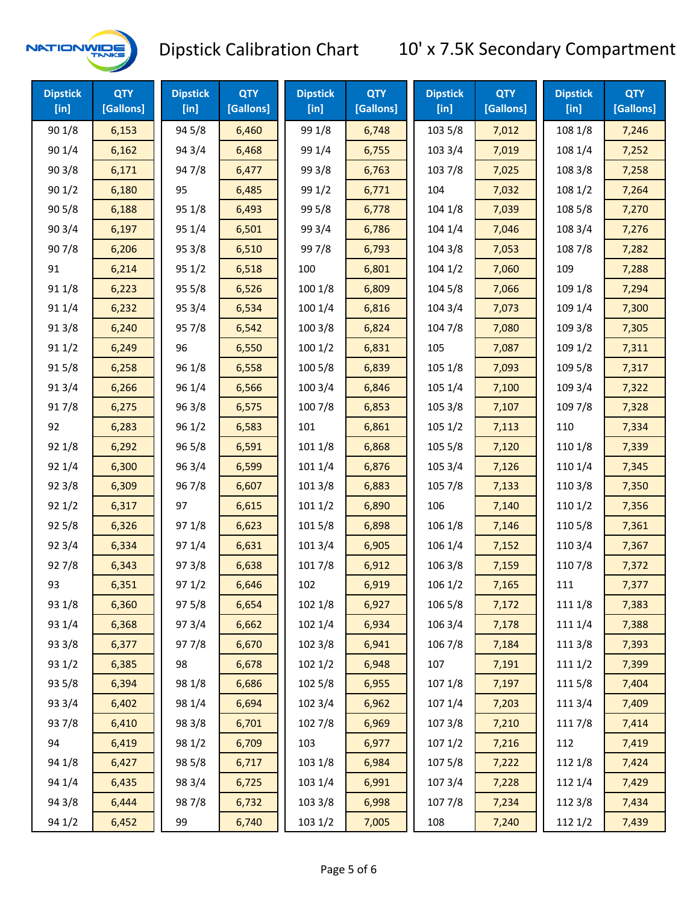

| <b>Dipstick</b><br>[ <sub>in</sub> ] | <b>QTY</b><br>[Gallons] | <b>Dipstick</b><br>$[$ in] | <b>QTY</b><br>[Gallons] | <b>Dipstick</b><br>$[$ in] | <b>QTY</b><br>[Gallons] | <b>Dipstick</b><br>$[$ in] | <b>QTY</b><br>[Gallons] | <b>Dipstick</b><br>[in] | <b>QTY</b><br>[Gallons] |
|--------------------------------------|-------------------------|----------------------------|-------------------------|----------------------------|-------------------------|----------------------------|-------------------------|-------------------------|-------------------------|
| 90 1/8                               | 6,153                   | 94 5/8                     | 6,460                   | 99 1/8                     | 6,748                   | 103 5/8                    | 7,012                   | 108 1/8                 | 7,246                   |
| 90 1/4                               | 6,162                   | 94 3/4                     | 6,468                   | 99 1/4                     | 6,755                   | 103 3/4                    | 7,019                   | 108 1/4                 | 7,252                   |
| 903/8                                | 6,171                   | 947/8                      | 6,477                   | 99 3/8                     | 6,763                   | 103 7/8                    | 7,025                   | 108 3/8                 | 7,258                   |
| 901/2                                | 6,180                   | 95                         | 6,485                   | 99 1/2                     | 6,771                   | 104                        | 7,032                   | 108 1/2                 | 7,264                   |
| 905/8                                | 6,188                   | 95 1/8                     | 6,493                   | 99 5/8                     | 6,778                   | 104 1/8                    | 7,039                   | 108 5/8                 | 7,270                   |
| 90 3/4                               | 6,197                   | 95 1/4                     | 6,501                   | 99 3/4                     | 6,786                   | 104 1/4                    | 7,046                   | 108 3/4                 | 7,276                   |
| 907/8                                | 6,206                   | 95 3/8                     | 6,510                   | 997/8                      | 6,793                   | 104 3/8                    | 7,053                   | 108 7/8                 | 7,282                   |
| 91                                   | 6,214                   | 95 1/2                     | 6,518                   | 100                        | 6,801                   | 1041/2                     | 7,060                   | 109                     | 7,288                   |
| 91 1/8                               | 6,223                   | 95 5/8                     | 6,526                   | 100 1/8                    | 6,809                   | 104 5/8                    | 7,066                   | 109 1/8                 | 7,294                   |
| 91 1/4                               | 6,232                   | 95 3/4                     | 6,534                   | 100 1/4                    | 6,816                   | 104 3/4                    | 7,073                   | 109 1/4                 | 7,300                   |
| 913/8                                | 6,240                   | 95 7/8                     | 6,542                   | 100 3/8                    | 6,824                   | 104 7/8                    | 7,080                   | 109 3/8                 | 7,305                   |
| 91 1/2                               | 6,249                   | 96                         | 6,550                   | 1001/2                     | 6,831                   | 105                        | 7,087                   | 109 1/2                 | 7,311                   |
| 915/8                                | 6,258                   | 96 1/8                     | 6,558                   | 100 5/8                    | 6,839                   | 105 1/8                    | 7,093                   | 109 5/8                 | 7,317                   |
| 913/4                                | 6,266                   | 96 1/4                     | 6,566                   | 100 3/4                    | 6,846                   | 105 1/4                    | 7,100                   | 109 3/4                 | 7,322                   |
| 917/8                                | 6,275                   | 96 3/8                     | 6,575                   | 100 7/8                    | 6,853                   | 105 3/8                    | 7,107                   | 109 7/8                 | 7,328                   |
| 92                                   | 6,283                   | 96 1/2                     | 6,583                   | 101                        | 6,861                   | 1051/2                     | 7,113                   | 110                     | 7,334                   |
| 92 1/8                               | 6,292                   | 96 5/8                     | 6,591                   | 101 1/8                    | 6,868                   | 105 5/8                    | 7,120                   | 110 1/8                 | 7,339                   |
| 92 1/4                               | 6,300                   | 96 3/4                     | 6,599                   | 101 1/4                    | 6,876                   | 105 3/4                    | 7,126                   | 110 1/4                 | 7,345                   |
| 923/8                                | 6,309                   | 967/8                      | 6,607                   | 101 3/8                    | 6,883                   | 105 7/8                    | 7,133                   | 110 3/8                 | 7,350                   |
| 921/2                                | 6,317                   | 97                         | 6,615                   | 1011/2                     | 6,890                   | 106                        | 7,140                   | 110 1/2                 | 7,356                   |
| 925/8                                | 6,326                   | 97 1/8                     | 6,623                   | 101 5/8                    | 6,898                   | 106 1/8                    | 7,146                   | 110 5/8                 | 7,361                   |
| 92 3/4                               | 6,334                   | 97 1/4                     | 6,631                   | 101 3/4                    | 6,905                   | 106 1/4                    | 7,152                   | 110 3/4                 | 7,367                   |
| 927/8                                | 6,343                   | 973/8                      | 6,638                   | 101 7/8                    | 6,912                   | 106 3/8                    | 7,159                   | 110 7/8                 | 7,372                   |
| 93                                   | 6,351                   | 97 1/2                     | 6,646                   | 102                        | 6,919                   | 106 1/2                    | 7,165                   | 111                     | 7,377                   |
| 93 1/8                               | 6,360                   | 97 5/8                     | 6,654                   | 102 1/8                    | 6,927                   | 106 5/8                    | 7,172                   | 111 1/8                 | 7,383                   |
| 93 1/4                               | 6,368                   | 973/4                      | 6,662                   | 102 1/4                    | 6,934                   | 106 3/4                    | 7,178                   | 111 1/4                 | 7,388                   |
| 93 3/8                               | 6,377                   | 977/8                      | 6,670                   | 102 3/8                    | 6,941                   | 106 7/8                    | 7,184                   | 111 3/8                 | 7,393                   |
| 93 1/2                               | 6,385                   | 98                         | 6,678                   | 102 1/2                    | 6,948                   | 107                        | 7,191                   | 111 1/2                 | 7,399                   |
| 93 5/8                               | 6,394                   | 98 1/8                     | 6,686                   | 102 5/8                    | 6,955                   | 107 1/8                    | 7,197                   | 1115/8                  | 7,404                   |
| 93 3/4                               | 6,402                   | 98 1/4                     | 6,694                   | 102 3/4                    | 6,962                   | 107 1/4                    | 7,203                   | 111 3/4                 | 7,409                   |
| 937/8                                | 6,410                   | 98 3/8                     | 6,701                   | 102 7/8                    | 6,969                   | 1073/8                     | 7,210                   | 111 7/8                 | 7,414                   |
| 94                                   | 6,419                   | 98 1/2                     | 6,709                   | 103                        | 6,977                   | 1071/2                     | 7,216                   | 112                     | 7,419                   |
| 94 1/8                               | 6,427                   | 98 5/8                     | 6,717                   | 103 1/8                    | 6,984                   | 1075/8                     | 7,222                   | 112 1/8                 | 7,424                   |
| 94 1/4                               | 6,435                   | 98 3/4                     | 6,725                   | 103 1/4                    | 6,991                   | 107 3/4                    | 7,228                   | 112 1/4                 | 7,429                   |
| 94 3/8                               | 6,444                   | 987/8                      | 6,732                   | 103 3/8                    | 6,998                   | 1077/8                     | 7,234                   | 112 3/8                 | 7,434                   |
| 94 1/2                               | 6,452                   | 99                         | 6,740                   | 103 1/2                    | 7,005                   | 108                        | 7,240                   | 112 1/2                 | 7,439                   |